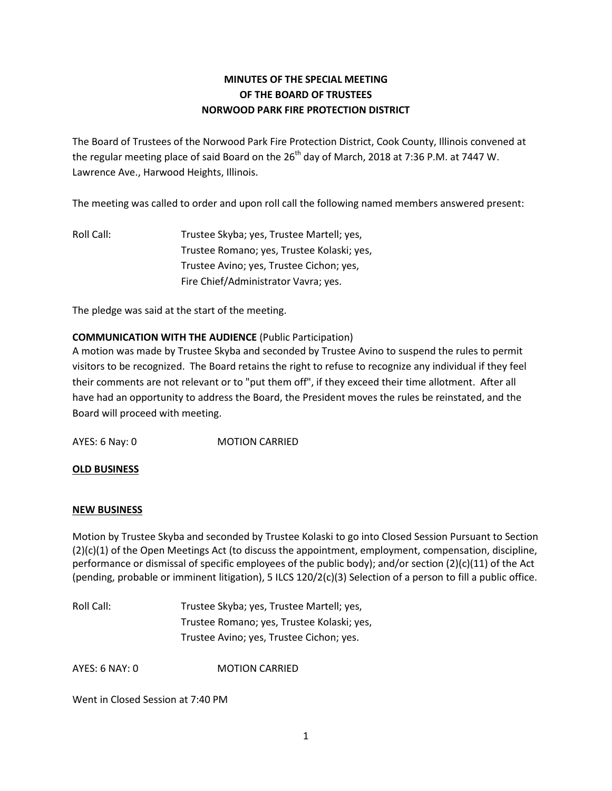## **MINUTES OF THE SPECIAL MEETING OF THE BOARD OF TRUSTEES NORWOOD PARK FIRE PROTECTION DISTRICT**

The Board of Trustees of the Norwood Park Fire Protection District, Cook County, Illinois convened at the regular meeting place of said Board on the  $26<sup>th</sup>$  day of March, 2018 at 7:36 P.M. at 7447 W. Lawrence Ave., Harwood Heights, Illinois.

The meeting was called to order and upon roll call the following named members answered present:

Roll Call: Trustee Skyba; yes, Trustee Martell; yes, Trustee Romano; yes, Trustee Kolaski; yes, Trustee Avino; yes, Trustee Cichon; yes, Fire Chief/Administrator Vavra; yes.

The pledge was said at the start of the meeting.

## **COMMUNICATION WITH THE AUDIENCE** (Public Participation)

A motion was made by Trustee Skyba and seconded by Trustee Avino to suspend the rules to permit visitors to be recognized. The Board retains the right to refuse to recognize any individual if they feel their comments are not relevant or to "put them off", if they exceed their time allotment. After all have had an opportunity to address the Board, the President moves the rules be reinstated, and the Board will proceed with meeting.

AYES: 6 Nay: 0 MOTION CARRIED

## **OLD BUSINESS**

## **NEW BUSINESS**

Motion by Trustee Skyba and seconded by Trustee Kolaski to go into Closed Session Pursuant to Section (2)(c)(1) of the Open Meetings Act (to discuss the appointment, employment, compensation, discipline, performance or dismissal of specific employees of the public body); and/or section (2)(c)(11) of the Act (pending, probable or imminent litigation), 5 ILCS 120/2(c)(3) Selection of a person to fill a public office.

Roll Call: Trustee Skyba; yes, Trustee Martell; yes, Trustee Romano; yes, Trustee Kolaski; yes, Trustee Avino; yes, Trustee Cichon; yes.

AYES: 6 NAY: 0 MOTION CARRIED

Went in Closed Session at 7:40 PM